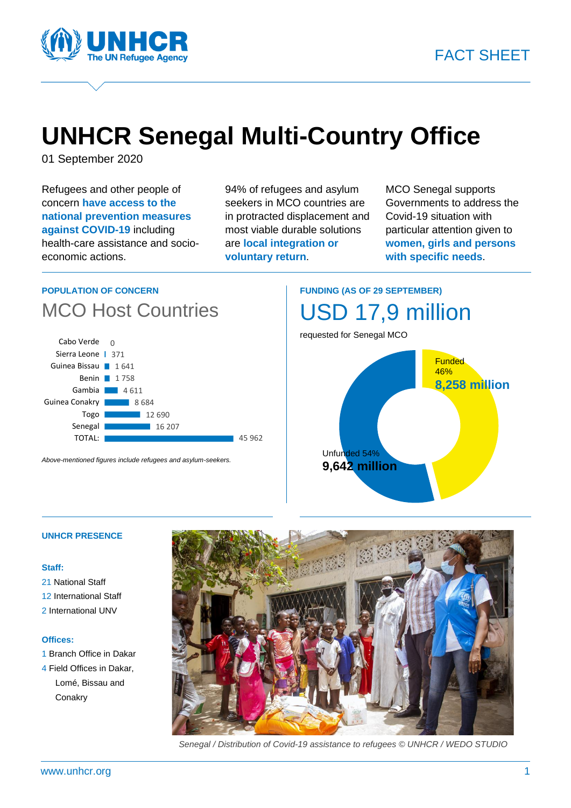

# **UNHCR Senegal Multi-Country Office**

01 September 2020

Refugees and other people of concern **have access to the national prevention measures against COVID-19** including health-care assistance and socioeconomic actions.

94% of refugees and asylum seekers in MCO countries are in protracted displacement and most viable durable solutions are **local integration or voluntary return**.

MCO Senegal supports Governments to address the Covid-19 situation with particular attention given to **women, girls and persons with specific needs**.

### **POPULATION OF CONCERN** MCO Host Countries



*Above-mentioned figures include refugees and asylum-seekers.*

### **FUNDING (AS OF 29 SEPTEMBER)** USD 17,9 million



#### **UNHCR PRESENCE**

#### **Staff:**

21 National Staff 12 International Staff 2 International UNV

#### **Offices:**

- 1 Branch Office in Dakar
- 4 Field Offices in Dakar, Lomé, Bissau and **Conakry**



*Senegal / Distribution of Covid-19 assistance to refugees © UNHCR / WEDO STUDIO*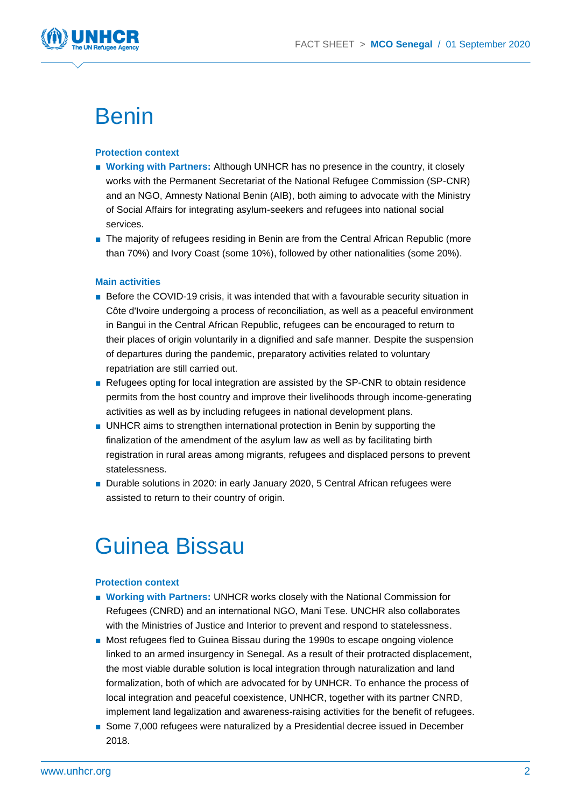

### Benin

#### **Protection context**

- **Working with Partners:** Although UNHCR has no presence in the country, it closely works with the Permanent Secretariat of the National Refugee Commission (SP-CNR) and an NGO, Amnesty National Benin (AIB), both aiming to advocate with the Ministry of Social Affairs for integrating asylum-seekers and refugees into national social services.
- The majority of refugees residing in Benin are from the Central African Republic (more than 70%) and Ivory Coast (some 10%), followed by other nationalities (some 20%).

#### **Main activities**

- Before the COVID-19 crisis, it was intended that with a favourable security situation in Côte d'Ivoire undergoing a process of reconciliation, as well as a peaceful environment in Bangui in the Central African Republic, refugees can be encouraged to return to their places of origin voluntarily in a dignified and safe manner. Despite the suspension of departures during the pandemic, preparatory activities related to voluntary repatriation are still carried out.
- Refugees opting for local integration are assisted by the SP-CNR to obtain residence permits from the host country and improve their livelihoods through income-generating activities as well as by including refugees in national development plans.
- UNHCR aims to strengthen international protection in Benin by supporting the finalization of the amendment of the asylum law as well as by facilitating birth registration in rural areas among migrants, refugees and displaced persons to prevent statelessness.
- Durable solutions in 2020: in early January 2020, 5 Central African refugees were assisted to return to their country of origin.

### Guinea Bissau

#### **Protection context**

- **Working with Partners: UNHCR works closely with the National Commission for** Refugees (CNRD) and an international NGO, Mani Tese. UNCHR also collaborates with the Ministries of Justice and Interior to prevent and respond to statelessness.
- Most refugees fled to Guinea Bissau during the 1990s to escape ongoing violence linked to an armed insurgency in Senegal. As a result of their protracted displacement, the most viable durable solution is local integration through naturalization and land formalization, both of which are advocated for by UNHCR. To enhance the process of local integration and peaceful coexistence, UNHCR, together with its partner CNRD, implement land legalization and awareness-raising activities for the benefit of refugees.
- Some 7,000 refugees were naturalized by a Presidential decree issued in December 2018.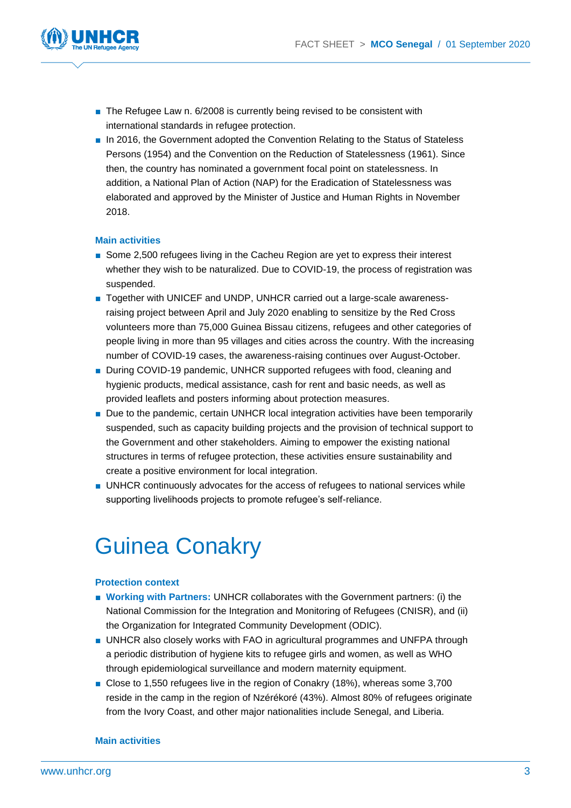

- The Refugee Law n. 6/2008 is currently being revised to be consistent with international standards in refugee protection.
- In 2016, the Government adopted the Convention Relating to the Status of Stateless Persons (1954) and the Convention on the Reduction of Statelessness (1961). Since then, the country has nominated a government focal point on statelessness. In addition, a National Plan of Action (NAP) for the Eradication of Statelessness was elaborated and approved by the Minister of Justice and Human Rights in November 2018.

#### **Main activities**

- Some 2,500 refugees living in the Cacheu Region are yet to express their interest whether they wish to be naturalized. Due to COVID-19, the process of registration was suspended.
- Together with UNICEF and UNDP, UNHCR carried out a large-scale awarenessraising project between April and July 2020 enabling to sensitize by the Red Cross volunteers more than 75,000 Guinea Bissau citizens, refugees and other categories of people living in more than 95 villages and cities across the country. With the increasing number of COVID-19 cases, the awareness-raising continues over August-October.
- During COVID-19 pandemic, UNHCR supported refugees with food, cleaning and hygienic products, medical assistance, cash for rent and basic needs, as well as provided leaflets and posters informing about protection measures.
- Due to the pandemic, certain UNHCR local integration activities have been temporarily suspended, such as capacity building projects and the provision of technical support to the Government and other stakeholders. Aiming to empower the existing national structures in terms of refugee protection, these activities ensure sustainability and create a positive environment for local integration.
- UNHCR continuously advocates for the access of refugees to national services while supporting livelihoods projects to promote refugee's self-reliance.

### Guinea Conakry

#### **Protection context**

- **Working with Partners: UNHCR collaborates with the Government partners: (i) the** National Commission for the Integration and Monitoring of Refugees (CNISR), and (ii) the Organization for Integrated Community Development (ODIC).
- UNHCR also closely works with FAO in agricultural programmes and UNFPA through a periodic distribution of hygiene kits to refugee girls and women, as well as WHO through epidemiological surveillance and modern maternity equipment.
- Close to 1,550 refugees live in the region of Conakry (18%), whereas some 3,700 reside in the camp in the region of Nzérékoré (43%). Almost 80% of refugees originate from the Ivory Coast, and other major nationalities include Senegal, and Liberia.

#### **Main activities**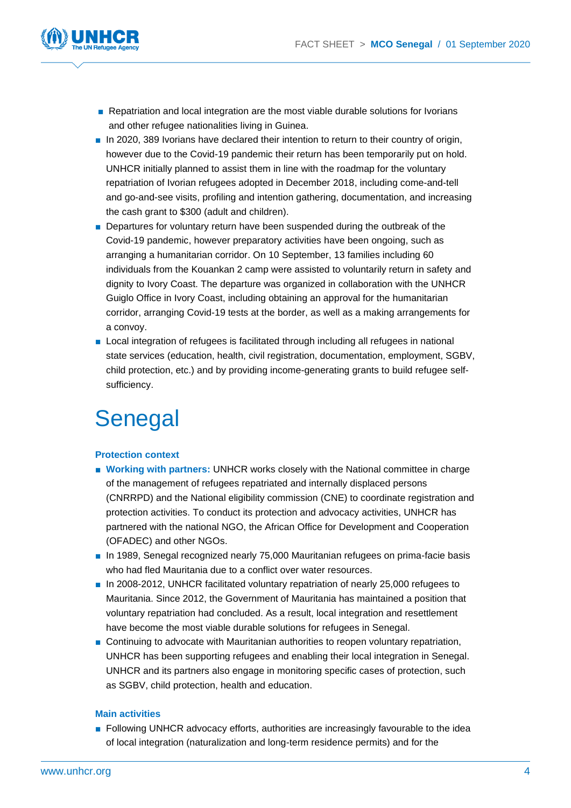

- Repatriation and local integration are the most viable durable solutions for Ivorians and other refugee nationalities living in Guinea.
- In 2020, 389 Ivorians have declared their intention to return to their country of origin, however due to the Covid-19 pandemic their return has been temporarily put on hold. UNHCR initially planned to assist them in line with the roadmap for the voluntary repatriation of Ivorian refugees adopted in December 2018, including come-and-tell and go-and-see visits, profiling and intention gathering, documentation, and increasing the cash grant to \$300 (adult and children).
- Departures for voluntary return have been suspended during the outbreak of the Covid-19 pandemic, however preparatory activities have been ongoing, such as arranging a humanitarian corridor. On 10 September, 13 families including 60 individuals from the Kouankan 2 camp were assisted to voluntarily return in safety and dignity to Ivory Coast. The departure was organized in collaboration with the UNHCR Guiglo Office in Ivory Coast, including obtaining an approval for the humanitarian corridor, arranging Covid-19 tests at the border, as well as a making arrangements for a convoy.
- Local integration of refugees is facilitated through including all refugees in national state services (education, health, civil registration, documentation, employment, SGBV, child protection, etc.) and by providing income-generating grants to build refugee selfsufficiency.

### Senegal

#### **Protection context**

- **Working with partners: UNHCR works closely with the National committee in charge** of the management of refugees repatriated and internally displaced persons (CNRRPD) and the National eligibility commission (CNE) to coordinate registration and protection activities. To conduct its protection and advocacy activities, UNHCR has partnered with the national NGO, the African Office for Development and Cooperation (OFADEC) and other NGOs.
- In 1989, Senegal recognized nearly 75,000 Mauritanian refugees on prima-facie basis who had fled Mauritania due to a conflict over water resources.
- In 2008-2012, UNHCR facilitated voluntary repatriation of nearly 25,000 refugees to Mauritania. Since 2012, the Government of Mauritania has maintained a position that voluntary repatriation had concluded. As a result, local integration and resettlement have become the most viable durable solutions for refugees in Senegal.
- Continuing to advocate with Mauritanian authorities to reopen voluntary repatriation, UNHCR has been supporting refugees and enabling their local integration in Senegal. UNHCR and its partners also engage in monitoring specific cases of protection, such as SGBV, child protection, health and education.

#### **Main activities**

■ Following UNHCR advocacy efforts, authorities are increasingly favourable to the idea of local integration (naturalization and long-term residence permits) and for the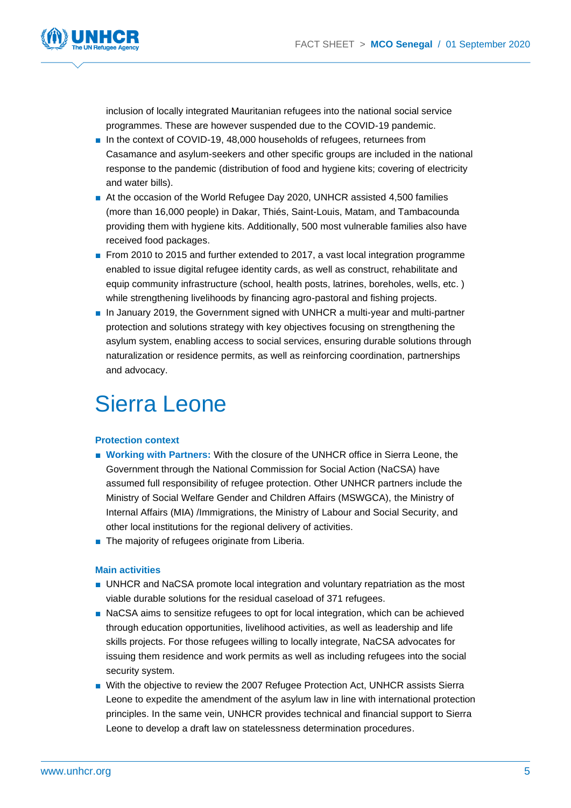

inclusion of locally integrated Mauritanian refugees into the national social service programmes. These are however suspended due to the COVID-19 pandemic.

- In the context of COVID-19, 48,000 households of refugees, returnees from Casamance and asylum-seekers and other specific groups are included in the national response to the pandemic (distribution of food and hygiene kits; covering of electricity and water bills).
- At the occasion of the World Refugee Day 2020, UNHCR assisted 4,500 families (more than 16,000 people) in Dakar, Thiés, Saint-Louis, Matam, and Tambacounda providing them with hygiene kits. Additionally, 500 most vulnerable families also have received food packages.
- From 2010 to 2015 and further extended to 2017, a vast local integration programme enabled to issue digital refugee identity cards, as well as construct, rehabilitate and equip community infrastructure (school, health posts, latrines, boreholes, wells, etc. ) while strengthening livelihoods by financing agro-pastoral and fishing projects.
- In January 2019, the Government signed with UNHCR a multi-year and multi-partner protection and solutions strategy with key objectives focusing on strengthening the asylum system, enabling access to social services, ensuring durable solutions through naturalization or residence permits, as well as reinforcing coordination, partnerships and advocacy.

### Sierra Leone

#### **Protection context**

- **Working with Partners:** With the closure of the UNHCR office in Sierra Leone, the Government through the National Commission for Social Action (NaCSA) have assumed full responsibility of refugee protection. Other UNHCR partners include the Ministry of Social Welfare Gender and Children Affairs (MSWGCA), the Ministry of Internal Affairs (MIA) /Immigrations, the Ministry of Labour and Social Security, and other local institutions for the regional delivery of activities.
- The majority of refugees originate from Liberia.

#### **Main activities**

- UNHCR and NaCSA promote local integration and voluntary repatriation as the most viable durable solutions for the residual caseload of 371 refugees.
- NaCSA aims to sensitize refugees to opt for local integration, which can be achieved through education opportunities, livelihood activities, as well as leadership and life skills projects. For those refugees willing to locally integrate, NaCSA advocates for issuing them residence and work permits as well as including refugees into the social security system.
- With the objective to review the 2007 Refugee Protection Act, UNHCR assists Sierra Leone to expedite the amendment of the asylum law in line with international protection principles. In the same vein, UNHCR provides technical and financial support to Sierra Leone to develop a draft law on statelessness determination procedures.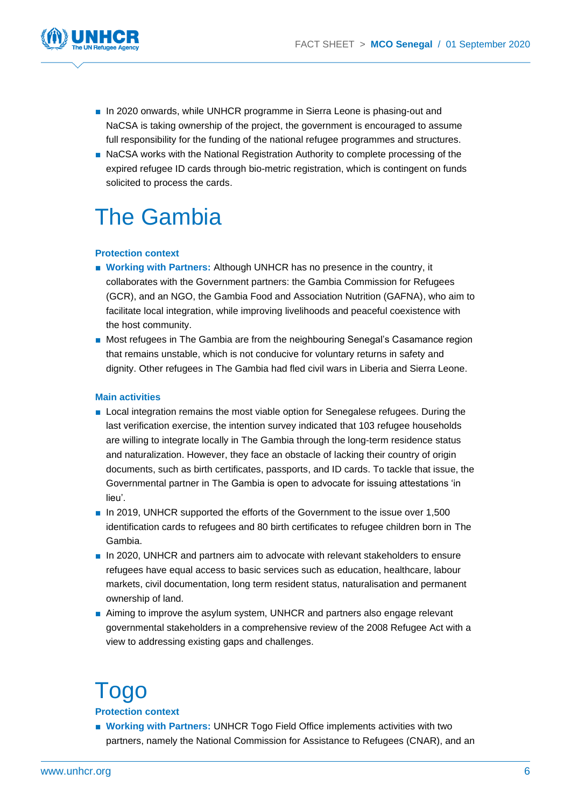

- In 2020 onwards, while UNHCR programme in Sierra Leone is phasing-out and NaCSA is taking ownership of the project, the government is encouraged to assume full responsibility for the funding of the national refugee programmes and structures.
- NaCSA works with the National Registration Authority to complete processing of the expired refugee ID cards through bio-metric registration, which is contingent on funds solicited to process the cards.

### The Gambia

#### **Protection context**

- **Working with Partners:** Although UNHCR has no presence in the country, it collaborates with the Government partners: the Gambia Commission for Refugees (GCR), and an NGO, the Gambia Food and Association Nutrition (GAFNA), who aim to facilitate local integration, while improving livelihoods and peaceful coexistence with the host community.
- Most refugees in The Gambia are from the neighbouring Senegal's Casamance region that remains unstable, which is not conducive for voluntary returns in safety and dignity. Other refugees in The Gambia had fled civil wars in Liberia and Sierra Leone.

#### **Main activities**

- Local integration remains the most viable option for Senegalese refugees. During the last verification exercise, the intention survey indicated that 103 refugee households are willing to integrate locally in The Gambia through the long-term residence status and naturalization. However, they face an obstacle of lacking their country of origin documents, such as birth certificates, passports, and ID cards. To tackle that issue, the Governmental partner in The Gambia is open to advocate for issuing attestations 'in lieu'.
- In 2019, UNHCR supported the efforts of the Government to the issue over 1,500 identification cards to refugees and 80 birth certificates to refugee children born in The Gambia.
- In 2020, UNHCR and partners aim to advocate with relevant stakeholders to ensure refugees have equal access to basic services such as education, healthcare, labour markets, civil documentation, long term resident status, naturalisation and permanent ownership of land.
- Aiming to improve the asylum system, UNHCR and partners also engage relevant governmental stakeholders in a comprehensive review of the 2008 Refugee Act with a view to addressing existing gaps and challenges.

### Togo

#### **Protection context**

■ **Working with Partners: UNHCR Togo Field Office implements activities with two** partners, namely the National Commission for Assistance to Refugees (CNAR), and an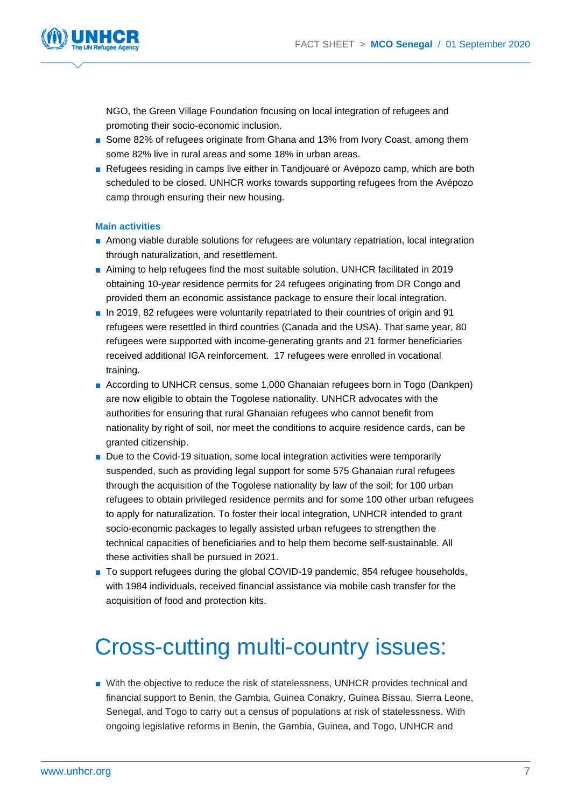

NGO, the Green Village Foundation focusing on local integration of refugees and promoting their socio-economic inclusion.

- Some 82% of refugees originate from Ghana and 13% from Ivory Coast, among them some 82% live in rural areas and some 18% in urban areas.
- Refugees residing in camps live either in Tandjouaré or Avépozo camp, which are both scheduled to be closed. UNHCR works towards supporting refugees from the Avépozo camp through ensuring their new housing.

#### **Main activities**

- Among viable durable solutions for refugees are voluntary repatriation, local integration through naturalization, and resettlement.
- Aiming to help refugees find the most suitable solution, UNHCR facilitated in 2019 obtaining 10-year residence permits for 24 refugees originating from DR Congo and provided them an economic assistance package to ensure their local integration.
- In 2019, 82 refugees were voluntarily repatriated to their countries of origin and 91 refugees were resettled in third countries (Canada and the USA). That same year, 80 refugees were supported with income-generating grants and 21 former beneficiaries received additional IGA reinforcement. 17 refugees were enrolled in vocational training.
- According to UNHCR census, some 1,000 Ghanaian refugees born in Togo (Dankpen) are now eligible to obtain the Togolese nationality. UNHCR advocates with the authorities for ensuring that rural Ghanaian refugees who cannot benefit from nationality by right of soil, nor meet the conditions to acquire residence cards, can be granted citizenship.
- Due to the Covid-19 situation, some local integration activities were temporarily suspended, such as providing legal support for some 575 Ghanaian rural refugees through the acquisition of the Togolese nationality by law of the soil; for 100 urban refugees to obtain privileged residence permits and for some 100 other urban refugees to apply for naturalization. To foster their local integration, UNHCR intended to grant socio-economic packages to legally assisted urban refugees to strengthen the technical capacities of beneficiaries and to help them become self-sustainable. All these activities shall be pursued in 2021.
- To support refugees during the global COVID-19 pandemic, 854 refugee households, with 1984 individuals, received financial assistance via mobile cash transfer for the acquisition of food and protection kits.

### Cross-cutting multi-country issues:

■ With the objective to reduce the risk of statelessness, UNHCR provides technical and financial support to Benin, the Gambia, Guinea Conakry, Guinea Bissau, Sierra Leone, Senegal, and Togo to carry out a census of populations at risk of statelessness. With ongoing legislative reforms in Benin, the Gambia, Guinea, and Togo, UNHCR and